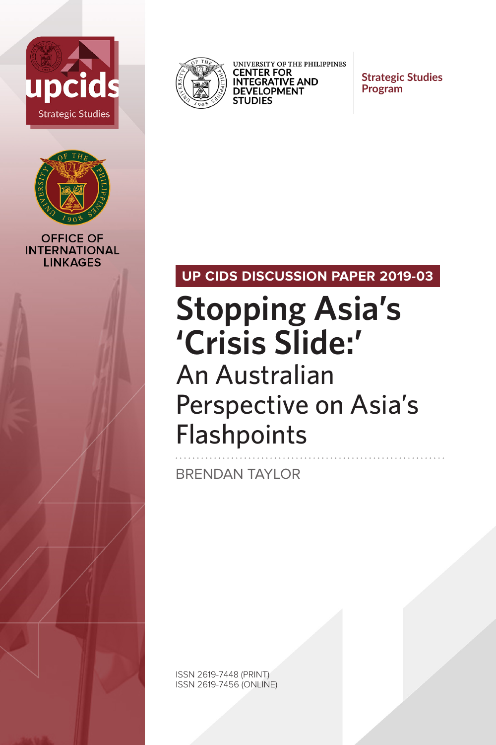



**OFFICE OF INTERNATIONAL LINKAGES** 



UNIVERSITY OF THE PHILIPPINES<br>**CENTER FOR INTEGRATIVE AND DEVELOPMENT STUDIES** 

**Strategic Studies Program**

# **UP CIDS DISCUSSION PAPER 2019-03**

# **Stopping Asia's 'Crisis Slide:'**  An Australian Perspective on Asia's **Flashpoints**

BRENDAN TAYLOR

ISSN 2619-7448 (PRINT) ISSN 2619-7456 (ONLINE)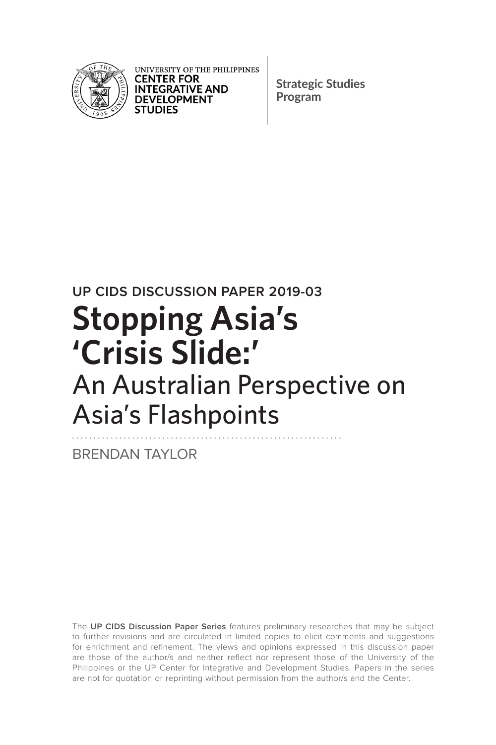

UNIVERSITY OF THE PHILIPPINES **CENTER FOR INTEGRATIVE AND DEVELOPMENT STUDIES** 

**Strategic Studies Program**

# **UP CIDS DISCUSSION PAPER 2019-03 Stopping Asia's 'Crisis Slide:'**  An Australian Perspective on Asia's Flashpoints

BRENDAN TAYLOR

The **UP CIDS Discussion Paper Series** features preliminary researches that may be subject to further revisions and are circulated in limited copies to elicit comments and suggestions for enrichment and refinement. The views and opinions expressed in this discussion paper are those of the author/s and neither reflect nor represent those of the University of the Philippines or the UP Center for Integrative and Development Studies. Papers in the series are not for quotation or reprinting without permission from the author/s and the Center.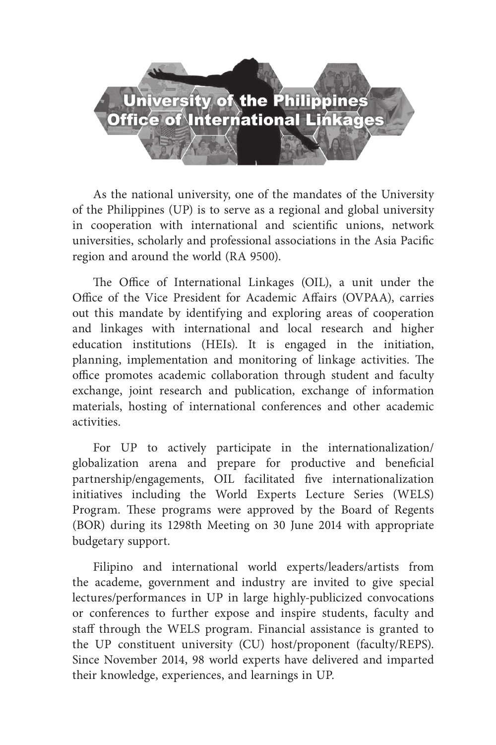# University of the Philippines<br>Office of International Linkages

As the national university, one of the mandates of the University of the Philippines (UP) is to serve as a regional and global university in cooperation with international and scientific unions, network universities, scholarly and professional associations in the Asia Pacific region and around the world (RA 9500).

The Office of International Linkages (OIL), a unit under the Office of the Vice President for Academic Affairs (OVPAA), carries out this mandate by identifying and exploring areas of cooperation and linkages with international and local research and higher education institutions (HEIs). It is engaged in the initiation, planning, implementation and monitoring of linkage activities. The office promotes academic collaboration through student and faculty exchange, joint research and publication, exchange of information materials, hosting of international conferences and other academic activities.

For UP to actively participate in the internationalization/ globalization arena and prepare for productive and beneficial partnership/engagements, OIL facilitated five internationalization initiatives including the World Experts Lecture Series (WELS) Program. These programs were approved by the Board of Regents (BOR) during its 1298th Meeting on 30 June 2014 with appropriate budgetary support.

Filipino and international world experts/leaders/artists from the academe, government and industry are invited to give special lectures/performances in UP in large highly-publicized convocations or conferences to further expose and inspire students, faculty and staff through the WELS program. Financial assistance is granted to the UP constituent university (CU) host/proponent (faculty/REPS). Since November 2014, 98 world experts have delivered and imparted their knowledge, experiences, and learnings in UP.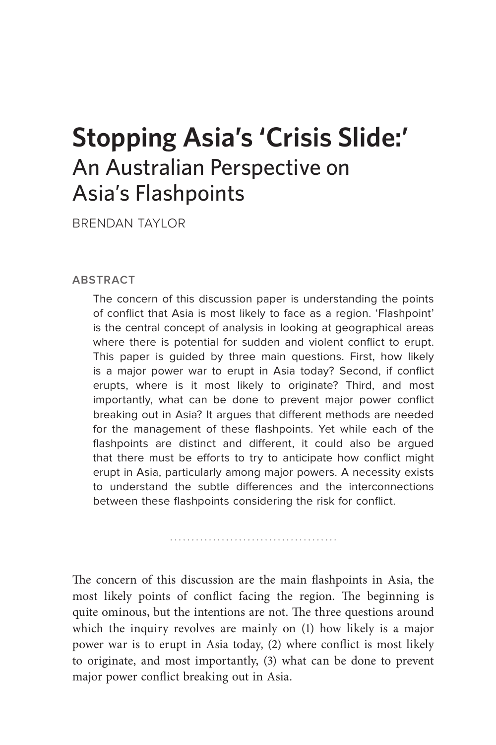# **Stopping Asia's 'Crisis Slide:'**  An Australian Perspective on Asia's Flashpoints

BRENDAN TAYLOR

#### **ABSTRACT**

The concern of this discussion paper is understanding the points of conflict that Asia is most likely to face as a region. 'Flashpoint' is the central concept of analysis in looking at geographical areas where there is potential for sudden and violent conflict to erupt. This paper is guided by three main questions. First, how likely is a major power war to erupt in Asia today? Second, if conflict erupts, where is it most likely to originate? Third, and most importantly, what can be done to prevent major power conflict breaking out in Asia? It argues that different methods are needed for the management of these flashpoints. Yet while each of the flashpoints are distinct and different, it could also be argued that there must be efforts to try to anticipate how conflict might erupt in Asia, particularly among major powers. A necessity exists to understand the subtle differences and the interconnections between these flashpoints considering the risk for conflict.

The concern of this discussion are the main flashpoints in Asia, the most likely points of conflict facing the region. The beginning is quite ominous, but the intentions are not. The three questions around which the inquiry revolves are mainly on (1) how likely is a major power war is to erupt in Asia today, (2) where conflict is most likely to originate, and most importantly, (3) what can be done to prevent major power conflict breaking out in Asia.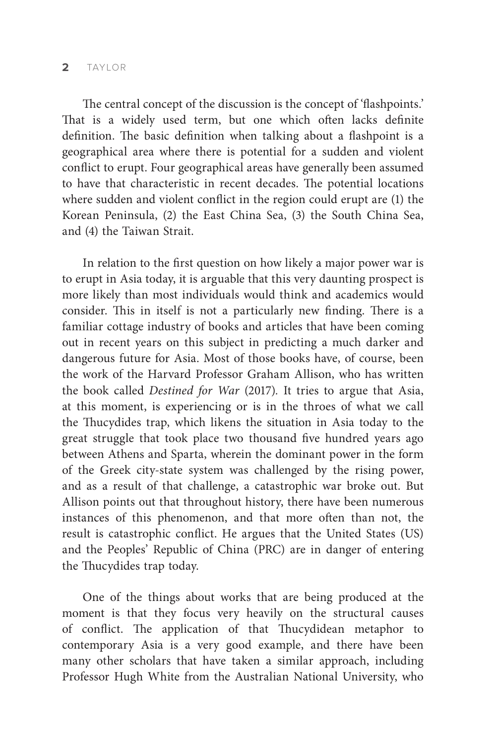#### **2** TAYLOR

The central concept of the discussion is the concept of 'flashpoints.' That is a widely used term, but one which often lacks definite definition. The basic definition when talking about a flashpoint is a geographical area where there is potential for a sudden and violent conflict to erupt. Four geographical areas have generally been assumed to have that characteristic in recent decades. The potential locations where sudden and violent conflict in the region could erupt are (1) the Korean Peninsula, (2) the East China Sea, (3) the South China Sea, and (4) the Taiwan Strait.

In relation to the first question on how likely a major power war is to erupt in Asia today, it is arguable that this very daunting prospect is more likely than most individuals would think and academics would consider. This in itself is not a particularly new finding. There is a familiar cottage industry of books and articles that have been coming out in recent years on this subject in predicting a much darker and dangerous future for Asia. Most of those books have, of course, been the work of the Harvard Professor Graham Allison, who has written the book called *Destined for War* (2017)*.* It tries to argue that Asia, at this moment, is experiencing or is in the throes of what we call the Thucydides trap, which likens the situation in Asia today to the great struggle that took place two thousand five hundred years ago between Athens and Sparta, wherein the dominant power in the form of the Greek city-state system was challenged by the rising power, and as a result of that challenge, a catastrophic war broke out. But Allison points out that throughout history, there have been numerous instances of this phenomenon, and that more often than not, the result is catastrophic conflict. He argues that the United States (US) and the Peoples' Republic of China (PRC) are in danger of entering the Thucydides trap today.

One of the things about works that are being produced at the moment is that they focus very heavily on the structural causes of conflict. The application of that Thucydidean metaphor to contemporary Asia is a very good example, and there have been many other scholars that have taken a similar approach, including Professor Hugh White from the Australian National University, who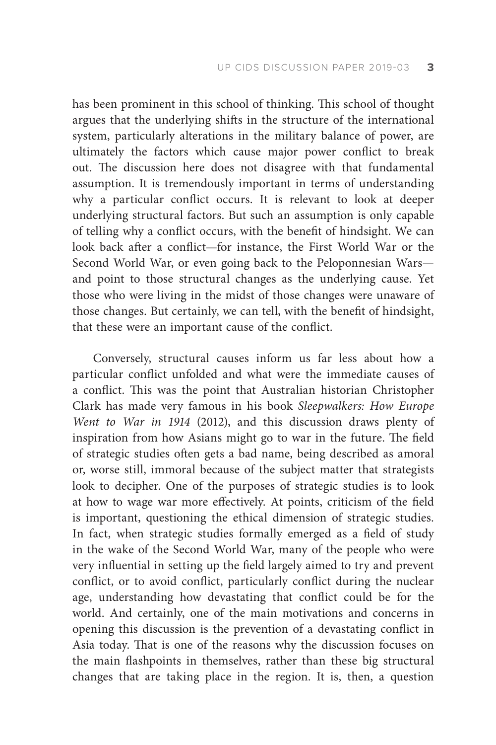has been prominent in this school of thinking. This school of thought argues that the underlying shifts in the structure of the international system, particularly alterations in the military balance of power, are ultimately the factors which cause major power conflict to break out. The discussion here does not disagree with that fundamental assumption. It is tremendously important in terms of understanding why a particular conflict occurs. It is relevant to look at deeper underlying structural factors. But such an assumption is only capable of telling why a conflict occurs, with the benefit of hindsight. We can look back after a conflict—for instance, the First World War or the Second World War, or even going back to the Peloponnesian Wars and point to those structural changes as the underlying cause. Yet those who were living in the midst of those changes were unaware of those changes. But certainly, we can tell, with the benefit of hindsight, that these were an important cause of the conflict.

Conversely, structural causes inform us far less about how a particular conflict unfolded and what were the immediate causes of a conflict. This was the point that Australian historian Christopher Clark has made very famous in his book *Sleepwalkers: How Europe Went to War in 1914* (2012), and this discussion draws plenty of inspiration from how Asians might go to war in the future. The field of strategic studies often gets a bad name, being described as amoral or, worse still, immoral because of the subject matter that strategists look to decipher. One of the purposes of strategic studies is to look at how to wage war more effectively. At points, criticism of the field is important, questioning the ethical dimension of strategic studies. In fact, when strategic studies formally emerged as a field of study in the wake of the Second World War, many of the people who were very influential in setting up the field largely aimed to try and prevent conflict, or to avoid conflict, particularly conflict during the nuclear age, understanding how devastating that conflict could be for the world. And certainly, one of the main motivations and concerns in opening this discussion is the prevention of a devastating conflict in Asia today. That is one of the reasons why the discussion focuses on the main flashpoints in themselves, rather than these big structural changes that are taking place in the region. It is, then, a question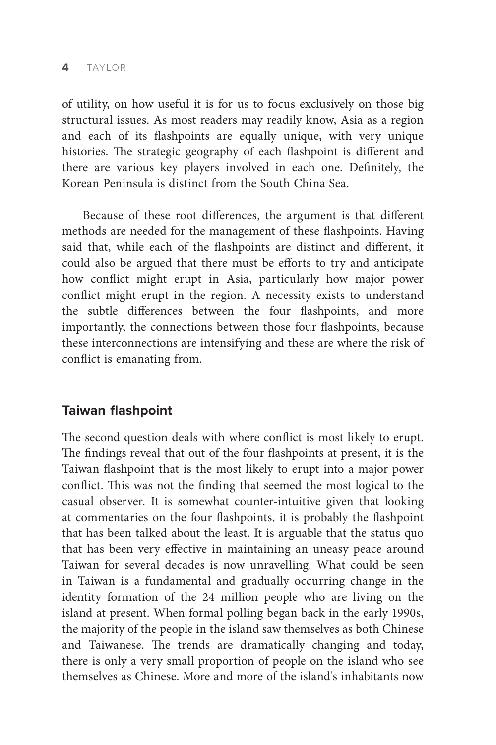of utility, on how useful it is for us to focus exclusively on those big structural issues. As most readers may readily know, Asia as a region and each of its flashpoints are equally unique, with very unique histories. The strategic geography of each flashpoint is different and there are various key players involved in each one. Definitely, the Korean Peninsula is distinct from the South China Sea.

Because of these root differences, the argument is that different methods are needed for the management of these flashpoints. Having said that, while each of the flashpoints are distinct and different, it could also be argued that there must be efforts to try and anticipate how conflict might erupt in Asia, particularly how major power conflict might erupt in the region. A necessity exists to understand the subtle differences between the four flashpoints, and more importantly, the connections between those four flashpoints, because these interconnections are intensifying and these are where the risk of conflict is emanating from.

# **Taiwan flashpoint**

The second question deals with where conflict is most likely to erupt. The findings reveal that out of the four flashpoints at present, it is the Taiwan flashpoint that is the most likely to erupt into a major power conflict. This was not the finding that seemed the most logical to the casual observer. It is somewhat counter-intuitive given that looking at commentaries on the four flashpoints, it is probably the flashpoint that has been talked about the least. It is arguable that the status quo that has been very effective in maintaining an uneasy peace around Taiwan for several decades is now unravelling. What could be seen in Taiwan is a fundamental and gradually occurring change in the identity formation of the 24 million people who are living on the island at present. When formal polling began back in the early 1990s, the majority of the people in the island saw themselves as both Chinese and Taiwanese. The trends are dramatically changing and today, there is only a very small proportion of people on the island who see themselves as Chinese. More and more of the island's inhabitants now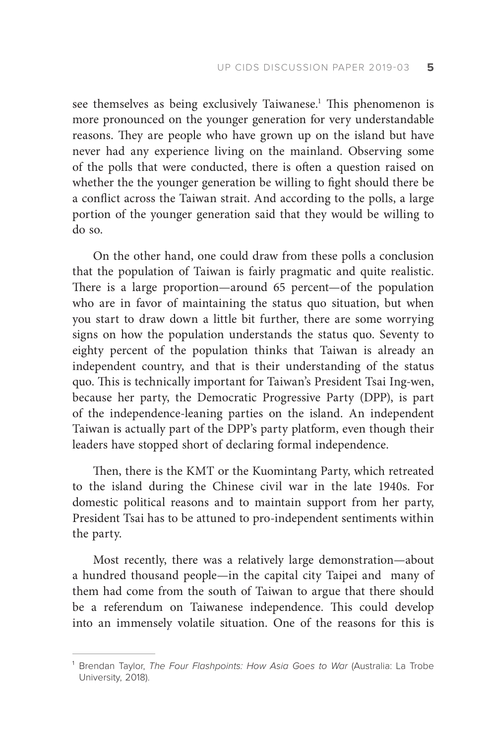see themselves as being exclusively Taiwanese.<sup>1</sup> This phenomenon is more pronounced on the younger generation for very understandable reasons. They are people who have grown up on the island but have never had any experience living on the mainland. Observing some of the polls that were conducted, there is often a question raised on whether the the younger generation be willing to fight should there be a conflict across the Taiwan strait. And according to the polls, a large portion of the younger generation said that they would be willing to do so.

On the other hand, one could draw from these polls a conclusion that the population of Taiwan is fairly pragmatic and quite realistic. There is a large proportion—around 65 percent—of the population who are in favor of maintaining the status quo situation, but when you start to draw down a little bit further, there are some worrying signs on how the population understands the status quo. Seventy to eighty percent of the population thinks that Taiwan is already an independent country, and that is their understanding of the status quo. This is technically important for Taiwan's President Tsai Ing-wen, because her party, the Democratic Progressive Party (DPP), is part of the independence-leaning parties on the island. An independent Taiwan is actually part of the DPP's party platform, even though their leaders have stopped short of declaring formal independence.

Then, there is the KMT or the Kuomintang Party, which retreated to the island during the Chinese civil war in the late 1940s. For domestic political reasons and to maintain support from her party, President Tsai has to be attuned to pro-independent sentiments within the party.

Most recently, there was a relatively large demonstration—about a hundred thousand people—in the capital city Taipei and many of them had come from the south of Taiwan to argue that there should be a referendum on Taiwanese independence. This could develop into an immensely volatile situation. One of the reasons for this is

<sup>&</sup>lt;sup>1</sup> Brendan Taylor, *The Four Flashpoints: How Asia Goes to War (Australia: La Trobe* University, 2018).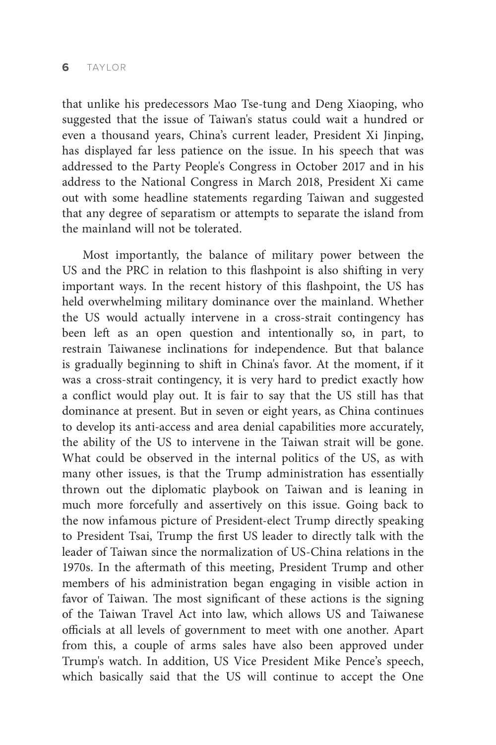that unlike his predecessors Mao Tse-tung and Deng Xiaoping, who suggested that the issue of Taiwan's status could wait a hundred or even a thousand years, China's current leader, President Xi Jinping, has displayed far less patience on the issue. In his speech that was addressed to the Party People's Congress in October 2017 and in his address to the National Congress in March 2018, President Xi came out with some headline statements regarding Taiwan and suggested that any degree of separatism or attempts to separate the island from the mainland will not be tolerated.

Most importantly, the balance of military power between the US and the PRC in relation to this flashpoint is also shifting in very important ways. In the recent history of this flashpoint, the US has held overwhelming military dominance over the mainland. Whether the US would actually intervene in a cross-strait contingency has been left as an open question and intentionally so, in part, to restrain Taiwanese inclinations for independence. But that balance is gradually beginning to shift in China's favor. At the moment, if it was a cross-strait contingency, it is very hard to predict exactly how a conflict would play out. It is fair to say that the US still has that dominance at present. But in seven or eight years, as China continues to develop its anti-access and area denial capabilities more accurately, the ability of the US to intervene in the Taiwan strait will be gone. What could be observed in the internal politics of the US, as with many other issues, is that the Trump administration has essentially thrown out the diplomatic playbook on Taiwan and is leaning in much more forcefully and assertively on this issue. Going back to the now infamous picture of President-elect Trump directly speaking to President Tsai, Trump the first US leader to directly talk with the leader of Taiwan since the normalization of US-China relations in the 1970s. In the aftermath of this meeting, President Trump and other members of his administration began engaging in visible action in favor of Taiwan. The most significant of these actions is the signing of the Taiwan Travel Act into law, which allows US and Taiwanese officials at all levels of government to meet with one another. Apart from this, a couple of arms sales have also been approved under Trump's watch. In addition, US Vice President Mike Pence's speech, which basically said that the US will continue to accept the One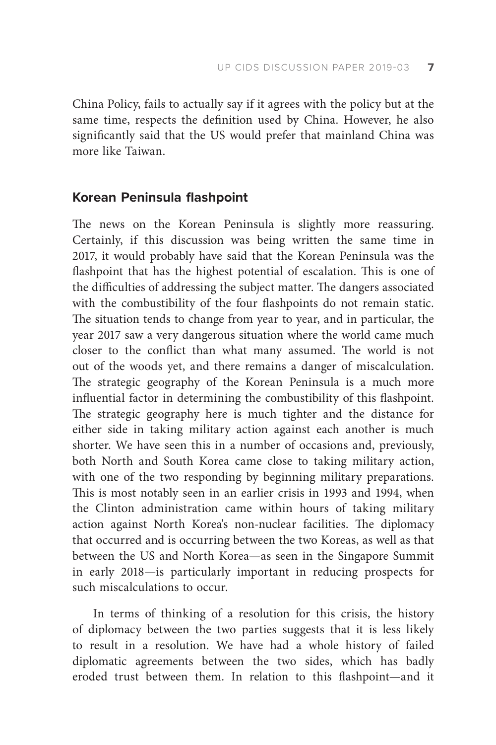China Policy, fails to actually say if it agrees with the policy but at the same time, respects the definition used by China. However, he also significantly said that the US would prefer that mainland China was more like Taiwan.

#### **Korean Peninsula flashpoint**

The news on the Korean Peninsula is slightly more reassuring. Certainly, if this discussion was being written the same time in 2017, it would probably have said that the Korean Peninsula was the flashpoint that has the highest potential of escalation. This is one of the difficulties of addressing the subject matter. The dangers associated with the combustibility of the four flashpoints do not remain static. The situation tends to change from year to year, and in particular, the year 2017 saw a very dangerous situation where the world came much closer to the conflict than what many assumed. The world is not out of the woods yet, and there remains a danger of miscalculation. The strategic geography of the Korean Peninsula is a much more influential factor in determining the combustibility of this flashpoint. The strategic geography here is much tighter and the distance for either side in taking military action against each another is much shorter. We have seen this in a number of occasions and, previously, both North and South Korea came close to taking military action, with one of the two responding by beginning military preparations. This is most notably seen in an earlier crisis in 1993 and 1994, when the Clinton administration came within hours of taking military action against North Korea's non-nuclear facilities. The diplomacy that occurred and is occurring between the two Koreas, as well as that between the US and North Korea—as seen in the Singapore Summit in early 2018—is particularly important in reducing prospects for such miscalculations to occur.

In terms of thinking of a resolution for this crisis, the history of diplomacy between the two parties suggests that it is less likely to result in a resolution. We have had a whole history of failed diplomatic agreements between the two sides, which has badly eroded trust between them. In relation to this flashpoint—and it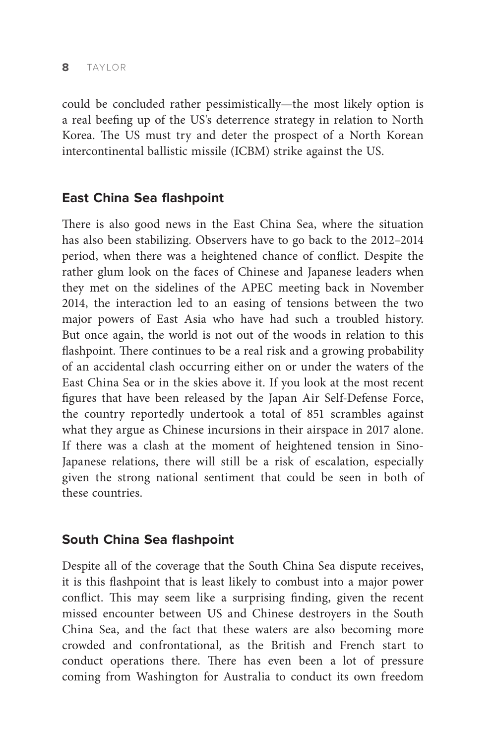could be concluded rather pessimistically—the most likely option is a real beefing up of the US's deterrence strategy in relation to North Korea. The US must try and deter the prospect of a North Korean intercontinental ballistic missile (ICBM) strike against the US.

# **East China Sea flashpoint**

There is also good news in the East China Sea, where the situation has also been stabilizing. Observers have to go back to the 2012–2014 period, when there was a heightened chance of conflict. Despite the rather glum look on the faces of Chinese and Japanese leaders when they met on the sidelines of the APEC meeting back in November 2014, the interaction led to an easing of tensions between the two major powers of East Asia who have had such a troubled history. But once again, the world is not out of the woods in relation to this flashpoint. There continues to be a real risk and a growing probability of an accidental clash occurring either on or under the waters of the East China Sea or in the skies above it. If you look at the most recent figures that have been released by the Japan Air Self-Defense Force, the country reportedly undertook a total of 851 scrambles against what they argue as Chinese incursions in their airspace in 2017 alone. If there was a clash at the moment of heightened tension in Sino-Japanese relations, there will still be a risk of escalation, especially given the strong national sentiment that could be seen in both of these countries.

# **South China Sea flashpoint**

Despite all of the coverage that the South China Sea dispute receives, it is this flashpoint that is least likely to combust into a major power conflict. This may seem like a surprising finding, given the recent missed encounter between US and Chinese destroyers in the South China Sea, and the fact that these waters are also becoming more crowded and confrontational, as the British and French start to conduct operations there. There has even been a lot of pressure coming from Washington for Australia to conduct its own freedom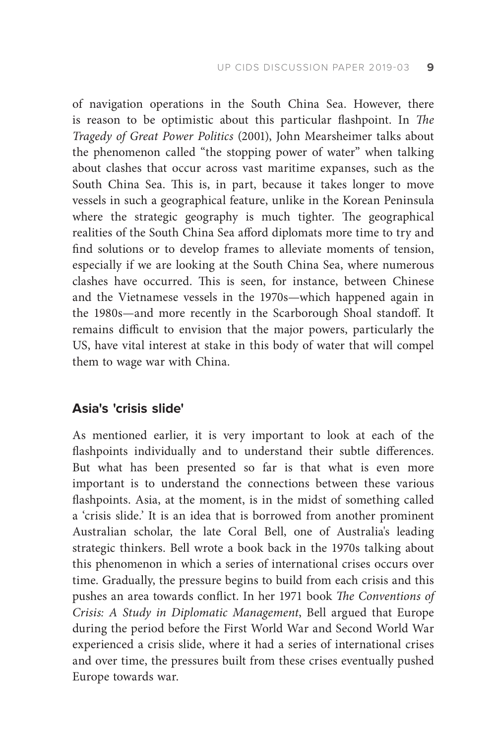of navigation operations in the South China Sea. However, there is reason to be optimistic about this particular flashpoint. In *The Tragedy of Great Power Politics* (2001), John Mearsheimer talks about the phenomenon called "the stopping power of water" when talking about clashes that occur across vast maritime expanses, such as the South China Sea. This is, in part, because it takes longer to move vessels in such a geographical feature, unlike in the Korean Peninsula where the strategic geography is much tighter. The geographical realities of the South China Sea afford diplomats more time to try and find solutions or to develop frames to alleviate moments of tension, especially if we are looking at the South China Sea, where numerous clashes have occurred. This is seen, for instance, between Chinese and the Vietnamese vessels in the 1970s—which happened again in the 1980s—and more recently in the Scarborough Shoal standoff. It remains difficult to envision that the major powers, particularly the US, have vital interest at stake in this body of water that will compel them to wage war with China.

# **Asia's 'crisis slide'**

As mentioned earlier, it is very important to look at each of the flashpoints individually and to understand their subtle differences. But what has been presented so far is that what is even more important is to understand the connections between these various flashpoints. Asia, at the moment, is in the midst of something called a 'crisis slide.' It is an idea that is borrowed from another prominent Australian scholar, the late Coral Bell, one of Australia's leading strategic thinkers. Bell wrote a book back in the 1970s talking about this phenomenon in which a series of international crises occurs over time. Gradually, the pressure begins to build from each crisis and this pushes an area towards conflict. In her 1971 book *The Conventions of Crisis: A Study in Diplomatic Management*, Bell argued that Europe during the period before the First World War and Second World War experienced a crisis slide, where it had a series of international crises and over time, the pressures built from these crises eventually pushed Europe towards war.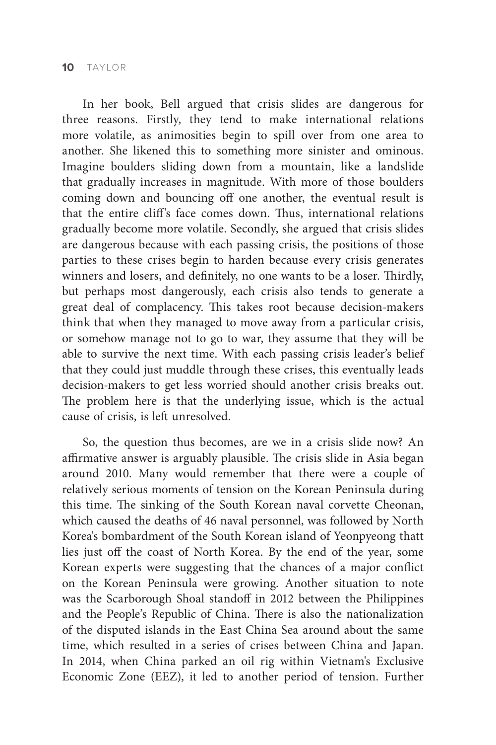In her book, Bell argued that crisis slides are dangerous for three reasons. Firstly, they tend to make international relations more volatile, as animosities begin to spill over from one area to another. She likened this to something more sinister and ominous. Imagine boulders sliding down from a mountain, like a landslide that gradually increases in magnitude. With more of those boulders coming down and bouncing off one another, the eventual result is that the entire cliff's face comes down. Thus, international relations gradually become more volatile. Secondly, she argued that crisis slides are dangerous because with each passing crisis, the positions of those parties to these crises begin to harden because every crisis generates winners and losers, and definitely, no one wants to be a loser. Thirdly, but perhaps most dangerously, each crisis also tends to generate a great deal of complacency. This takes root because decision-makers think that when they managed to move away from a particular crisis, or somehow manage not to go to war, they assume that they will be able to survive the next time. With each passing crisis leader's belief that they could just muddle through these crises, this eventually leads decision-makers to get less worried should another crisis breaks out. The problem here is that the underlying issue, which is the actual cause of crisis, is left unresolved.

So, the question thus becomes, are we in a crisis slide now? An affirmative answer is arguably plausible. The crisis slide in Asia began around 2010. Many would remember that there were a couple of relatively serious moments of tension on the Korean Peninsula during this time. The sinking of the South Korean naval corvette Cheonan, which caused the deaths of 46 naval personnel, was followed by North Korea's bombardment of the South Korean island of Yeonpyeong thatt lies just off the coast of North Korea. By the end of the year, some Korean experts were suggesting that the chances of a major conflict on the Korean Peninsula were growing. Another situation to note was the Scarborough Shoal standoff in 2012 between the Philippines and the People's Republic of China. There is also the nationalization of the disputed islands in the East China Sea around about the same time, which resulted in a series of crises between China and Japan. In 2014, when China parked an oil rig within Vietnam's Exclusive Economic Zone (EEZ), it led to another period of tension. Further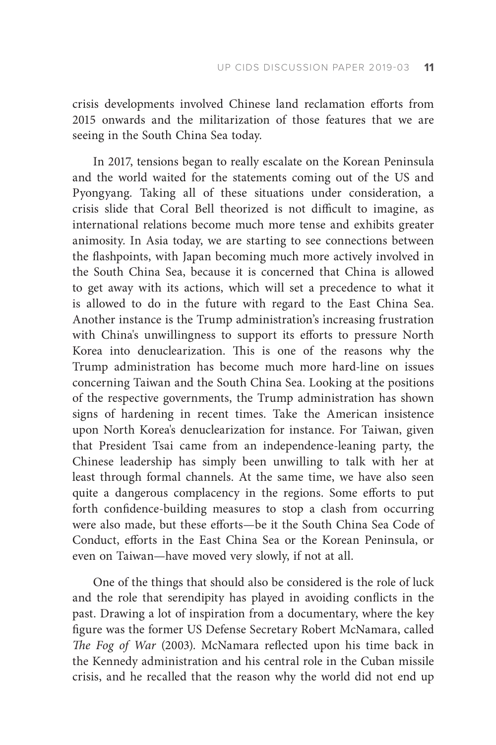crisis developments involved Chinese land reclamation efforts from 2015 onwards and the militarization of those features that we are seeing in the South China Sea today.

In 2017, tensions began to really escalate on the Korean Peninsula and the world waited for the statements coming out of the US and Pyongyang. Taking all of these situations under consideration, a crisis slide that Coral Bell theorized is not difficult to imagine, as international relations become much more tense and exhibits greater animosity. In Asia today, we are starting to see connections between the flashpoints, with Japan becoming much more actively involved in the South China Sea, because it is concerned that China is allowed to get away with its actions, which will set a precedence to what it is allowed to do in the future with regard to the East China Sea. Another instance is the Trump administration's increasing frustration with China's unwillingness to support its efforts to pressure North Korea into denuclearization. This is one of the reasons why the Trump administration has become much more hard-line on issues concerning Taiwan and the South China Sea. Looking at the positions of the respective governments, the Trump administration has shown signs of hardening in recent times. Take the American insistence upon North Korea's denuclearization for instance. For Taiwan, given that President Tsai came from an independence-leaning party, the Chinese leadership has simply been unwilling to talk with her at least through formal channels. At the same time, we have also seen quite a dangerous complacency in the regions. Some efforts to put forth confidence-building measures to stop a clash from occurring were also made, but these efforts—be it the South China Sea Code of Conduct, efforts in the East China Sea or the Korean Peninsula, or even on Taiwan—have moved very slowly, if not at all.

One of the things that should also be considered is the role of luck and the role that serendipity has played in avoiding conflicts in the past. Drawing a lot of inspiration from a documentary, where the key figure was the former US Defense Secretary Robert McNamara, called *The Fog of War* (2003). McNamara reflected upon his time back in the Kennedy administration and his central role in the Cuban missile crisis, and he recalled that the reason why the world did not end up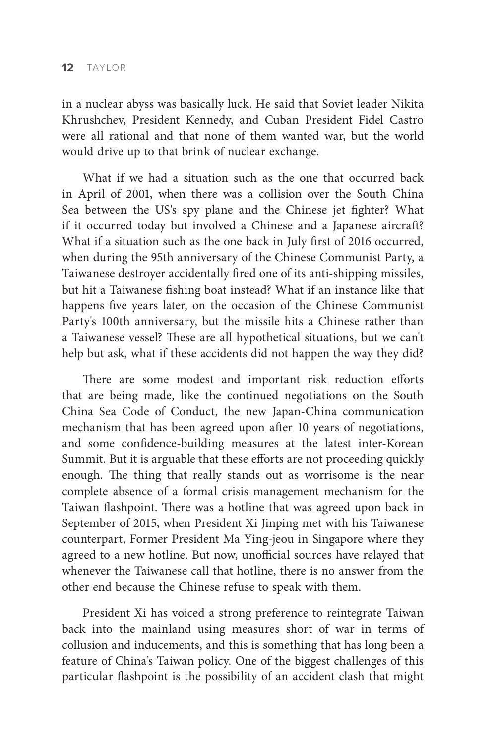in a nuclear abyss was basically luck. He said that Soviet leader Nikita Khrushchev, President Kennedy, and Cuban President Fidel Castro were all rational and that none of them wanted war, but the world would drive up to that brink of nuclear exchange.

What if we had a situation such as the one that occurred back in April of 2001, when there was a collision over the South China Sea between the US's spy plane and the Chinese jet fighter? What if it occurred today but involved a Chinese and a Japanese aircraft? What if a situation such as the one back in July first of 2016 occurred, when during the 95th anniversary of the Chinese Communist Party, a Taiwanese destroyer accidentally fired one of its anti-shipping missiles, but hit a Taiwanese fishing boat instead? What if an instance like that happens five years later, on the occasion of the Chinese Communist Party's 100th anniversary, but the missile hits a Chinese rather than a Taiwanese vessel? These are all hypothetical situations, but we can't help but ask, what if these accidents did not happen the way they did?

There are some modest and important risk reduction efforts that are being made, like the continued negotiations on the South China Sea Code of Conduct, the new Japan-China communication mechanism that has been agreed upon after 10 years of negotiations, and some confidence-building measures at the latest inter-Korean Summit. But it is arguable that these efforts are not proceeding quickly enough. The thing that really stands out as worrisome is the near complete absence of a formal crisis management mechanism for the Taiwan flashpoint. There was a hotline that was agreed upon back in September of 2015, when President Xi Jinping met with his Taiwanese counterpart, Former President Ma Ying-jeou in Singapore where they agreed to a new hotline. But now, unofficial sources have relayed that whenever the Taiwanese call that hotline, there is no answer from the other end because the Chinese refuse to speak with them.

President Xi has voiced a strong preference to reintegrate Taiwan back into the mainland using measures short of war in terms of collusion and inducements, and this is something that has long been a feature of China's Taiwan policy. One of the biggest challenges of this particular flashpoint is the possibility of an accident clash that might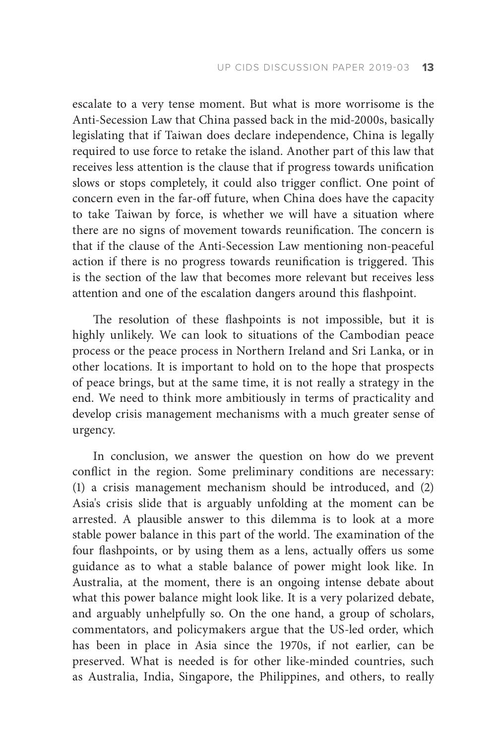escalate to a very tense moment. But what is more worrisome is the Anti-Secession Law that China passed back in the mid-2000s, basically legislating that if Taiwan does declare independence, China is legally required to use force to retake the island. Another part of this law that receives less attention is the clause that if progress towards unification slows or stops completely, it could also trigger conflict. One point of concern even in the far-off future, when China does have the capacity to take Taiwan by force, is whether we will have a situation where there are no signs of movement towards reunification. The concern is that if the clause of the Anti-Secession Law mentioning non-peaceful action if there is no progress towards reunification is triggered. This is the section of the law that becomes more relevant but receives less attention and one of the escalation dangers around this flashpoint.

The resolution of these flashpoints is not impossible, but it is highly unlikely. We can look to situations of the Cambodian peace process or the peace process in Northern Ireland and Sri Lanka, or in other locations. It is important to hold on to the hope that prospects of peace brings, but at the same time, it is not really a strategy in the end. We need to think more ambitiously in terms of practicality and develop crisis management mechanisms with a much greater sense of urgency.

In conclusion, we answer the question on how do we prevent conflict in the region. Some preliminary conditions are necessary: (1) a crisis management mechanism should be introduced, and (2) Asia's crisis slide that is arguably unfolding at the moment can be arrested. A plausible answer to this dilemma is to look at a more stable power balance in this part of the world. The examination of the four flashpoints, or by using them as a lens, actually offers us some guidance as to what a stable balance of power might look like. In Australia, at the moment, there is an ongoing intense debate about what this power balance might look like. It is a very polarized debate, and arguably unhelpfully so. On the one hand, a group of scholars, commentators, and policymakers argue that the US-led order, which has been in place in Asia since the 1970s, if not earlier, can be preserved. What is needed is for other like-minded countries, such as Australia, India, Singapore, the Philippines, and others, to really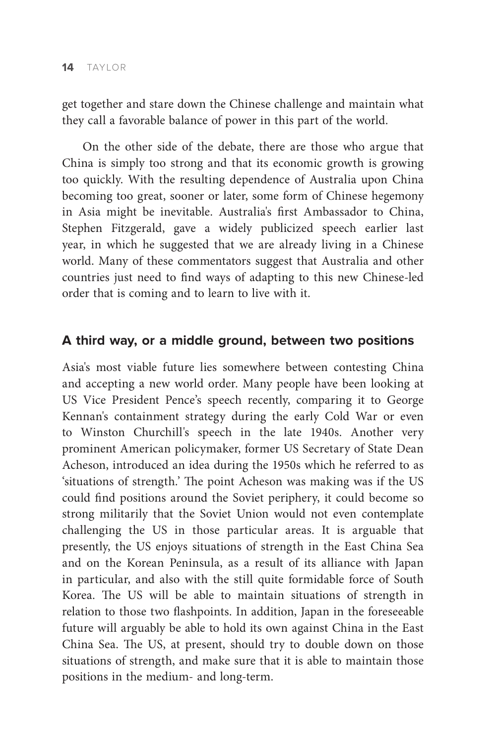get together and stare down the Chinese challenge and maintain what they call a favorable balance of power in this part of the world.

On the other side of the debate, there are those who argue that China is simply too strong and that its economic growth is growing too quickly. With the resulting dependence of Australia upon China becoming too great, sooner or later, some form of Chinese hegemony in Asia might be inevitable. Australia's first Ambassador to China, Stephen Fitzgerald, gave a widely publicized speech earlier last year, in which he suggested that we are already living in a Chinese world. Many of these commentators suggest that Australia and other countries just need to find ways of adapting to this new Chinese-led order that is coming and to learn to live with it.

## **A third way, or a middle ground, between two positions**

Asia's most viable future lies somewhere between contesting China and accepting a new world order. Many people have been looking at US Vice President Pence's speech recently, comparing it to George Kennan's containment strategy during the early Cold War or even to Winston Churchill's speech in the late 1940s. Another very prominent American policymaker, former US Secretary of State Dean Acheson, introduced an idea during the 1950s which he referred to as 'situations of strength.' The point Acheson was making was if the US could find positions around the Soviet periphery, it could become so strong militarily that the Soviet Union would not even contemplate challenging the US in those particular areas. It is arguable that presently, the US enjoys situations of strength in the East China Sea and on the Korean Peninsula, as a result of its alliance with Japan in particular, and also with the still quite formidable force of South Korea. The US will be able to maintain situations of strength in relation to those two flashpoints. In addition, Japan in the foreseeable future will arguably be able to hold its own against China in the East China Sea. The US, at present, should try to double down on those situations of strength, and make sure that it is able to maintain those positions in the medium- and long-term.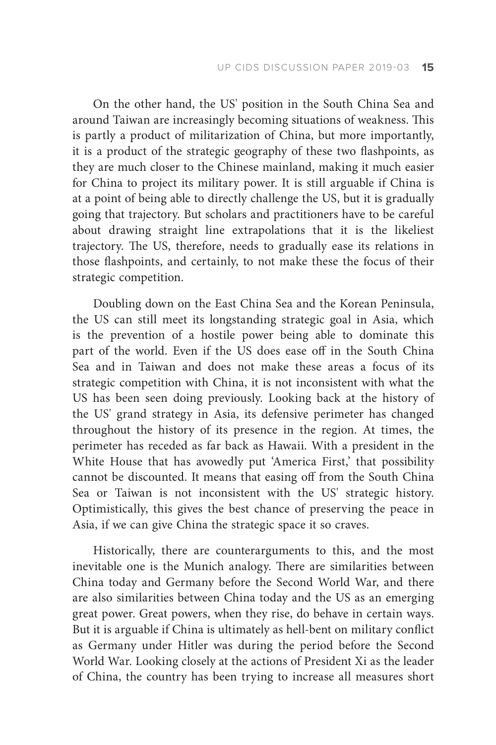On the other hand, the US' position in the South China Sea and around Taiwan are increasingly becoming situations of weakness. This is partly a product of militarization of China, but more importantly, it is a product of the strategic geography of these two flashpoints, as they are much closer to the Chinese mainland, making it much easier for China to project its military power. It is still arguable if China is at a point of being able to directly challenge the US, but it is gradually going that trajectory. But scholars and practitioners have to be careful about drawing straight line extrapolations that it is the likeliest trajectory. The US, therefore, needs to gradually ease its relations in those flashpoints, and certainly, to not make these the focus of their strategic competition.

Doubling down on the East China Sea and the Korean Peninsula, the US can still meet its longstanding strategic goal in Asia, which is the prevention of a hostile power being able to dominate this part of the world. Even if the US does ease off in the South China Sea and in Taiwan and does not make these areas a focus of its strategic competition with China, it is not inconsistent with what the US has been seen doing previously. Looking back at the history of the US' grand strategy in Asia, its defensive perimeter has changed throughout the history of its presence in the region. At times, the perimeter has receded as far back as Hawaii. With a president in the White House that has avowedly put 'America First,' that possibility cannot be discounted. It means that easing off from the South China Sea or Taiwan is not inconsistent with the US' strategic history. Optimistically, this gives the best chance of preserving the peace in Asia, if we can give China the strategic space it so craves.

Historically, there are counterarguments to this, and the most inevitable one is the Munich analogy. There are similarities between China today and Germany before the Second World War, and there are also similarities between China today and the US as an emerging great power. Great powers, when they rise, do behave in certain ways. But it is arguable if China is ultimately as hell-bent on military conflict as Germany under Hitler was during the period before the Second World War. Looking closely at the actions of President Xi as the leader of China, the country has been trying to increase all measures short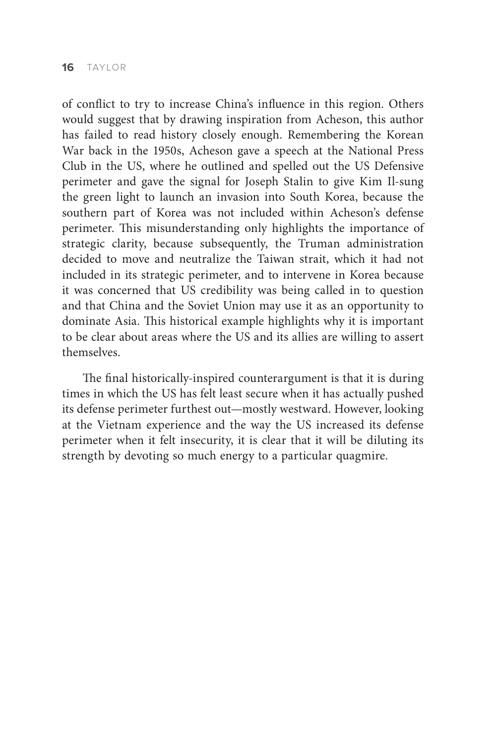of conflict to try to increase China's influence in this region. Others would suggest that by drawing inspiration from Acheson, this author has failed to read history closely enough. Remembering the Korean War back in the 1950s, Acheson gave a speech at the National Press Club in the US, where he outlined and spelled out the US Defensive perimeter and gave the signal for Joseph Stalin to give Kim Il-sung the green light to launch an invasion into South Korea, because the southern part of Korea was not included within Acheson's defense perimeter. This misunderstanding only highlights the importance of strategic clarity, because subsequently, the Truman administration decided to move and neutralize the Taiwan strait, which it had not included in its strategic perimeter, and to intervene in Korea because it was concerned that US credibility was being called in to question and that China and the Soviet Union may use it as an opportunity to dominate Asia. This historical example highlights why it is important to be clear about areas where the US and its allies are willing to assert themselves.

The final historically-inspired counterargument is that it is during times in which the US has felt least secure when it has actually pushed its defense perimeter furthest out—mostly westward. However, looking at the Vietnam experience and the way the US increased its defense perimeter when it felt insecurity, it is clear that it will be diluting its strength by devoting so much energy to a particular quagmire.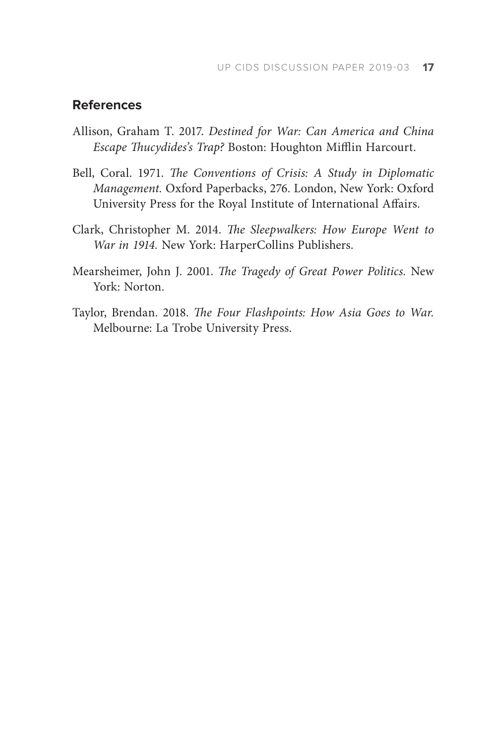## **References**

- Allison, Graham T. 2017. *Destined for War: Can America and China Escape Thucydides's Trap?* Boston: Houghton Mifflin Harcourt.
- Bell, Coral. 1971. *The Conventions of Crisis: A Study in Diplomatic Management.* Oxford Paperbacks, 276. London, New York: Oxford University Press for the Royal Institute of International Affairs.
- Clark, Christopher M. 2014. *The Sleepwalkers: How Europe Went to War in 1914.* New York: HarperCollins Publishers.
- Mearsheimer, John J. 2001. *The Tragedy of Great Power Politics.* New York: Norton.
- Taylor, Brendan. 2018. *The Four Flashpoints: How Asia Goes to War.*  Melbourne: La Trobe University Press.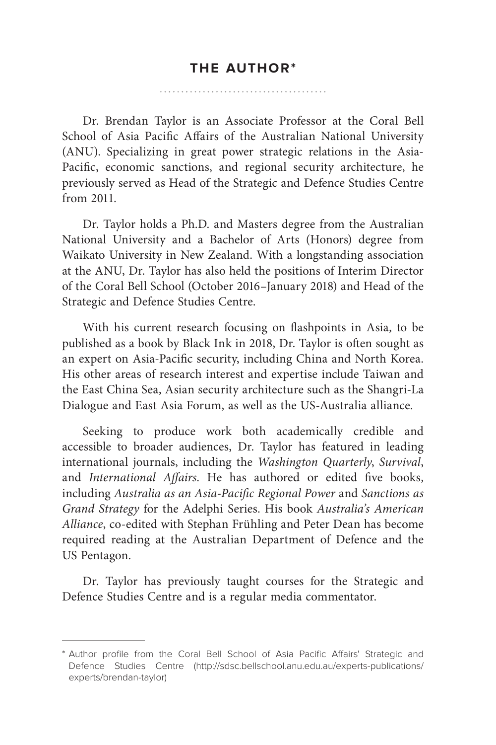Dr. Brendan Taylor is an Associate Professor at the Coral Bell School of Asia Pacific Affairs of the Australian National University (ANU). Specializing in great power strategic relations in the Asia-Pacific, economic sanctions, and regional security architecture, he previously served as Head of the Strategic and Defence Studies Centre from 2011.

Dr. Taylor holds a Ph.D. and Masters degree from the Australian National University and a Bachelor of Arts (Honors) degree from Waikato University in New Zealand. With a longstanding association at the ANU, Dr. Taylor has also held the positions of Interim Director of the Coral Bell School (October 2016–January 2018) and Head of the Strategic and Defence Studies Centre.

With his current research focusing on flashpoints in Asia, to be published as a book by Black Ink in 2018, Dr. Taylor is often sought as an expert on Asia-Pacific security, including China and North Korea. His other areas of research interest and expertise include Taiwan and the East China Sea, Asian security architecture such as the Shangri-La Dialogue and East Asia Forum, as well as the US-Australia alliance.

Seeking to produce work both academically credible and accessible to broader audiences, Dr. Taylor has featured in leading international journals, including the *Washington Quarterly*, *Survival*, and *International Affairs*. He has authored or edited five books, including *Australia as an Asia-Pacific Regional Power* and *Sanctions as Grand Strategy* for the Adelphi Series. His book *Australia's American Alliance*, co-edited with Stephan Frühling and Peter Dean has become required reading at the Australian Department of Defence and the US Pentagon.

Dr. Taylor has previously taught courses for the Strategic and Defence Studies Centre and is a regular media commentator.

<sup>\*</sup> Author profile from the Coral Bell School of Asia Pacific Affairs' Strategic and Defence Studies Centre (http://sdsc.bellschool.anu.edu.au/experts-publications/ experts/brendan-taylor)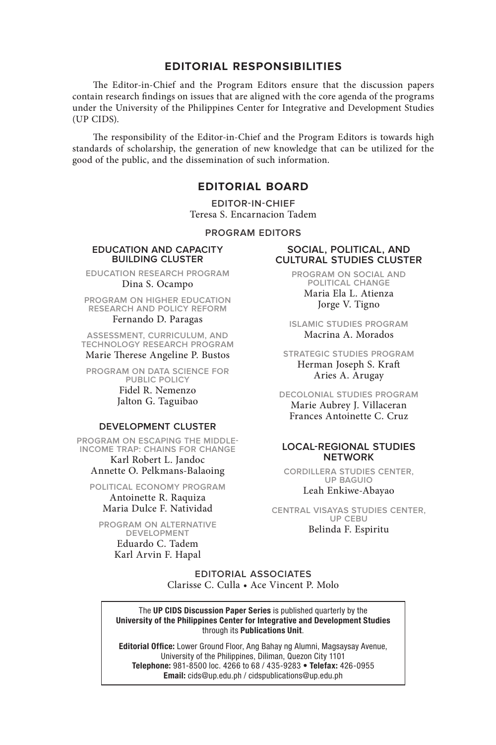#### **EDITORIAL RESPONSIBILITIES**

The Editor-in-Chief and the Program Editors ensure that the discussion papers contain research findings on issues that are aligned with the core agenda of the programs under the University of the Philippines Center for Integrative and Development Studies (UP CIDS).

The responsibility of the Editor-in-Chief and the Program Editors is towards high standards of scholarship, the generation of new knowledge that can be utilized for the good of the public, and the dissemination of such information.

#### **EDITORIAL BOARD**

**EDITOR-IN-CHIEF** Teresa S. Encarnacion Tadem

**PROGRAM EDITORS**

#### **EDUCATION AND CAPACITY BUILDING CLUSTER**

**EDUCATION RESEARCH PROGRAM** Dina S. Ocampo

**PROGRAM ON HIGHER EDUCATION RESEARCH AND POLICY REFORM** Fernando D. Paragas

**ASSESSMENT, CURRICULUM, AND TECHNOLOGY RESEARCH PROGRAM** Marie Therese Angeline P. Bustos

**PROGRAM ON DATA SCIENCE FOR PUBLIC POLICY** Fidel R. Nemenzo Jalton G. Taguibao

#### **DEVELOPMENT CLUSTER**

**PROGRAM ON ESCAPING THE MIDDLE-INCOME TRAP: CHAINS FOR CHANGE**

Karl Robert L. Jandoc Annette O. Pelkmans-Balaoing

**POLITICAL ECONOMY PROGRAM** Antoinette R. Raquiza Maria Dulce F. Natividad

**PROGRAM ON ALTERNATIVE DEVELOPMENT**

> Eduardo C. Tadem Karl Arvin F. Hapal

#### **SOCIAL, POLITICAL, AND CULTURAL STUDIES CLUSTER**

**PROGRAM ON SOCIAL AND POLITICAL CHANGE** Maria Ela L. Atienza Jorge V. Tigno

**ISLAMIC STUDIES PROGRAM** Macrina A. Morados

**STRATEGIC STUDIES PROGRAM** Herman Joseph S. Kraft Aries A. Arugay

**DECOLONIAL STUDIES PROGRAM** Marie Aubrey J. Villaceran Frances Antoinette C. Cruz

#### **LOCAL-REGIONAL STUDIES NETWORK**

**CORDILLERA STUDIES CENTER, UP BAGUIO**

Leah Enkiwe-Abayao

**CENTRAL VISAYAS STUDIES CENTER, UP CEBU** Belinda F. Espiritu

**EDITORIAL ASSOCIATES** Clarisse C. Culla • Ace Vincent P. Molo

The UP CIDS Discussion Paper Series is published quarterly by the University of the Philippines Center for Integrative and Development Studies through its Publications Unit.

Editorial Office: Lower Ground Floor, Ang Bahay ng Alumni, Magsaysay Avenue, University of the Philippines, Diliman, Quezon City 1101 Telephone: 981-8500 loc. 4266 to 68 / 435-9283 • Telefax: 426-0955 Email: cids@up.edu.ph / cidspublications@up.edu.ph